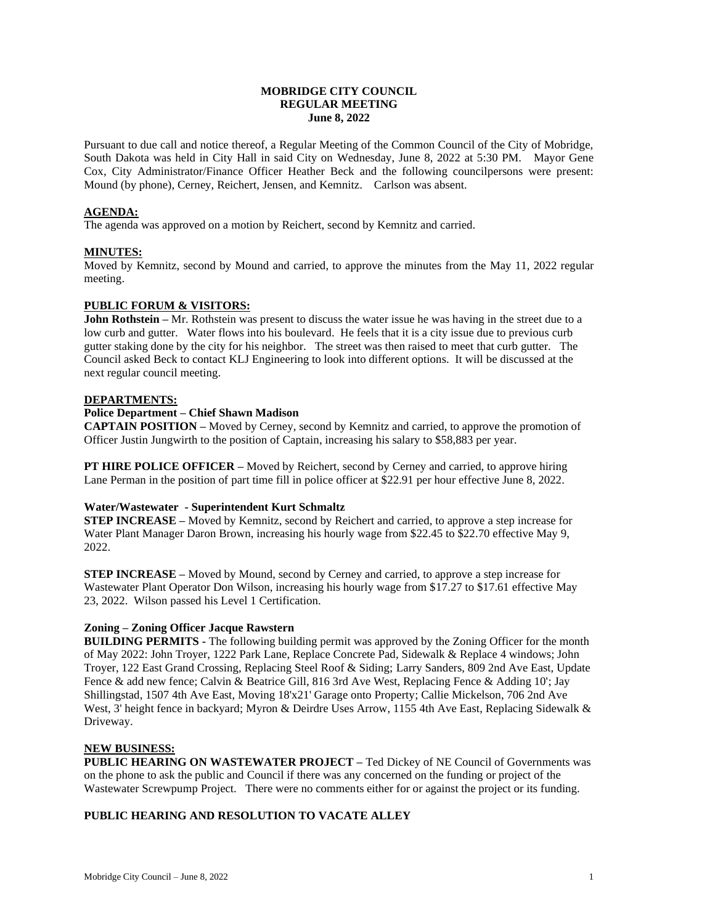## **MOBRIDGE CITY COUNCIL REGULAR MEETING June 8, 2022**

Pursuant to due call and notice thereof, a Regular Meeting of the Common Council of the City of Mobridge, South Dakota was held in City Hall in said City on Wednesday, June 8, 2022 at 5:30 PM. Mayor Gene Cox, City Administrator/Finance Officer Heather Beck and the following councilpersons were present: Mound (by phone), Cerney, Reichert, Jensen, and Kemnitz. Carlson was absent.

## **AGENDA:**

The agenda was approved on a motion by Reichert, second by Kemnitz and carried.

## **MINUTES:**

Moved by Kemnitz, second by Mound and carried, to approve the minutes from the May 11, 2022 regular meeting.

## **PUBLIC FORUM & VISITORS:**

**John Rothstein** – Mr. Rothstein was present to discuss the water issue he was having in the street due to a low curb and gutter. Water flows into his boulevard. He feels that it is a city issue due to previous curb gutter staking done by the city for his neighbor. The street was then raised to meet that curb gutter. The Council asked Beck to contact KLJ Engineering to look into different options. It will be discussed at the next regular council meeting.

#### **DEPARTMENTS:**

## **Police Department – Chief Shawn Madison**

**CAPTAIN POSITION –** Moved by Cerney, second by Kemnitz and carried, to approve the promotion of Officer Justin Jungwirth to the position of Captain, increasing his salary to \$58,883 per year.

**PT HIRE POLICE OFFICER –** Moved by Reichert, second by Cerney and carried, to approve hiring Lane Perman in the position of part time fill in police officer at \$22.91 per hour effective June 8, 2022.

# **Water/Wastewater - Superintendent Kurt Schmaltz**

**STEP INCREASE –** Moved by Kemnitz, second by Reichert and carried, to approve a step increase for Water Plant Manager Daron Brown, increasing his hourly wage from \$22.45 to \$22.70 effective May 9, 2022.

**STEP INCREASE –** Moved by Mound, second by Cerney and carried, to approve a step increase for Wastewater Plant Operator Don Wilson, increasing his hourly wage from \$17.27 to \$17.61 effective May 23, 2022. Wilson passed his Level 1 Certification.

#### **Zoning – Zoning Officer Jacque Rawstern**

**BUILDING PERMITS -** The following building permit was approved by the Zoning Officer for the month of May 2022: John Troyer, 1222 Park Lane, Replace Concrete Pad, Sidewalk & Replace 4 windows; John Troyer, 122 East Grand Crossing, Replacing Steel Roof & Siding; Larry Sanders, 809 2nd Ave East, Update Fence & add new fence; Calvin & Beatrice Gill, 816 3rd Ave West, Replacing Fence & Adding 10'; Jay Shillingstad, 1507 4th Ave East, Moving 18'x21' Garage onto Property; Callie Mickelson, 706 2nd Ave West, 3' height fence in backyard; Myron & Deirdre Uses Arrow, 1155 4th Ave East, Replacing Sidewalk & Driveway.

#### **NEW BUSINESS:**

**PUBLIC HEARING ON WASTEWATER PROJECT –** Ted Dickey of NE Council of Governments was on the phone to ask the public and Council if there was any concerned on the funding or project of the Wastewater Screwpump Project. There were no comments either for or against the project or its funding.

# **PUBLIC HEARING AND RESOLUTION TO VACATE ALLEY**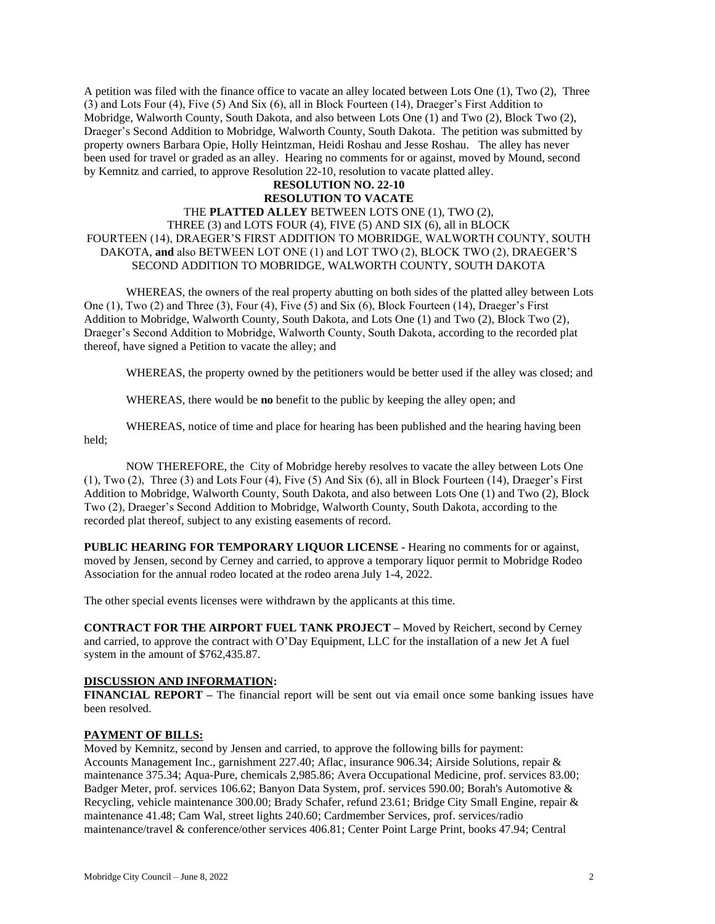A petition was filed with the finance office to vacate an alley located between Lots One (1), Two (2), Three (3) and Lots Four (4), Five (5) And Six (6), all in Block Fourteen (14), Draeger's First Addition to Mobridge, Walworth County, South Dakota, and also between Lots One (1) and Two (2), Block Two (2), Draeger's Second Addition to Mobridge, Walworth County, South Dakota. The petition was submitted by property owners Barbara Opie, Holly Heintzman, Heidi Roshau and Jesse Roshau. The alley has never been used for travel or graded as an alley. Hearing no comments for or against, moved by Mound, second by Kemnitz and carried, to approve Resolution 22-10, resolution to vacate platted alley.

# **RESOLUTION NO. 22-10 RESOLUTION TO VACATE**  THE **PLATTED ALLEY** BETWEEN LOTS ONE (1), TWO (2), THREE (3) and LOTS FOUR (4), FIVE (5) AND SIX (6), all in BLOCK FOURTEEN (14), DRAEGER'S FIRST ADDITION TO MOBRIDGE, WALWORTH COUNTY, SOUTH DAKOTA, **and** also BETWEEN LOT ONE (1) and LOT TWO (2), BLOCK TWO (2), DRAEGER'S SECOND ADDITION TO MOBRIDGE, WALWORTH COUNTY, SOUTH DAKOTA

WHEREAS, the owners of the real property abutting on both sides of the platted alley between Lots One (1), Two (2) and Three (3), Four (4), Five (5) and Six (6), Block Fourteen (14), Draeger's First Addition to Mobridge, Walworth County, South Dakota, and Lots One (1) and Two (2), Block Two (2), Draeger's Second Addition to Mobridge, Walworth County, South Dakota, according to the recorded plat thereof, have signed a Petition to vacate the alley; and

WHEREAS, the property owned by the petitioners would be better used if the alley was closed; and

WHEREAS, there would be **no** benefit to the public by keeping the alley open; and

WHEREAS, notice of time and place for hearing has been published and the hearing having been held;

NOW THEREFORE, the City of Mobridge hereby resolves to vacate the alley between Lots One (1), Two (2), Three (3) and Lots Four (4), Five (5) And Six (6), all in Block Fourteen (14), Draeger's First Addition to Mobridge, Walworth County, South Dakota, and also between Lots One (1) and Two (2), Block Two (2), Draeger's Second Addition to Mobridge, Walworth County, South Dakota, according to the recorded plat thereof, subject to any existing easements of record.

**PUBLIC HEARING FOR TEMPORARY LIQUOR LICENSE -** Hearing no comments for or against, moved by Jensen, second by Cerney and carried, to approve a temporary liquor permit to Mobridge Rodeo Association for the annual rodeo located at the rodeo arena July 1-4, 2022.

The other special events licenses were withdrawn by the applicants at this time.

**CONTRACT FOR THE AIRPORT FUEL TANK PROJECT –** Moved by Reichert, second by Cerney and carried, to approve the contract with O'Day Equipment, LLC for the installation of a new Jet A fuel system in the amount of \$762,435.87.

#### **DISCUSSION AND INFORMATION:**

**FINANCIAL REPORT –** The financial report will be sent out via email once some banking issues have been resolved.

#### **PAYMENT OF BILLS:**

Moved by Kemnitz, second by Jensen and carried, to approve the following bills for payment: Accounts Management Inc., garnishment 227.40; Aflac, insurance 906.34; Airside Solutions, repair & maintenance 375.34; Aqua-Pure, chemicals 2,985.86; Avera Occupational Medicine, prof. services 83.00; Badger Meter, prof. services 106.62; Banyon Data System, prof. services 590.00; Borah's Automotive & Recycling, vehicle maintenance 300.00; Brady Schafer, refund 23.61; Bridge City Small Engine, repair & maintenance 41.48; Cam Wal, street lights 240.60; Cardmember Services, prof. services/radio maintenance/travel & conference/other services 406.81; Center Point Large Print, books 47.94; Central